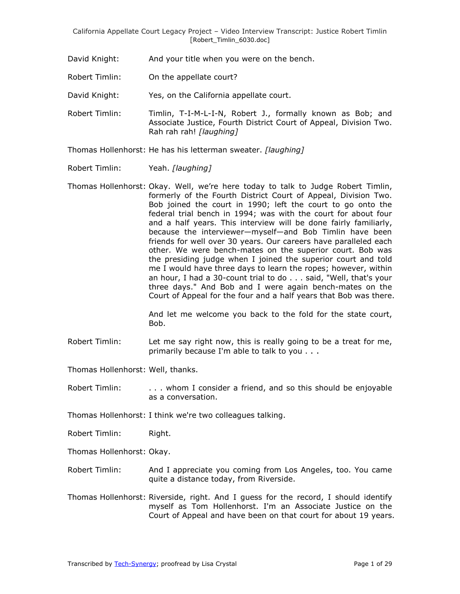David Knight: And your title when you were on the bench.

Robert Timlin: On the appellate court?

David Knight: Yes, on the California appellate court.

Robert Timlin: Timlin, T-I-M-L-I-N, Robert J., formally known as Bob; and Associate Justice, Fourth District Court of Appeal, Division Two. Rah rah rah! *[laughing]*

Thomas Hollenhorst: He has his letterman sweater. *[laughing]*

Robert Timlin: Yeah. *[laughing]*

Thomas Hollenhorst: Okay. Well, we're here today to talk to Judge Robert Timlin, formerly of the Fourth District Court of Appeal, Division Two. Bob joined the court in 1990; left the court to go onto the federal trial bench in 1994; was with the court for about four and a half years. This interview will be done fairly familiarly, because the interviewer—myself—and Bob Timlin have been friends for well over 30 years. Our careers have paralleled each other. We were bench-mates on the superior court. Bob was the presiding judge when I joined the superior court and told me I would have three days to learn the ropes; however, within an hour, I had a 30-count trial to do . . . said, "Well, that's your three days." And Bob and I were again bench-mates on the Court of Appeal for the four and a half years that Bob was there.

> And let me welcome you back to the fold for the state court, Bob.

Robert Timlin: Let me say right now, this is really going to be a treat for me, primarily because I'm able to talk to you . . .

Thomas Hollenhorst: Well, thanks.

Robert Timlin: . . . . whom I consider a friend, and so this should be enjoyable as a conversation.

Thomas Hollenhorst: I think we're two colleagues talking.

Robert Timlin: Right.

Thomas Hollenhorst: Okay.

- Robert Timlin: And I appreciate you coming from Los Angeles, too. You came quite a distance today, from Riverside.
- Thomas Hollenhorst: Riverside, right. And I guess for the record, I should identify myself as Tom Hollenhorst. I'm an Associate Justice on the Court of Appeal and have been on that court for about 19 years.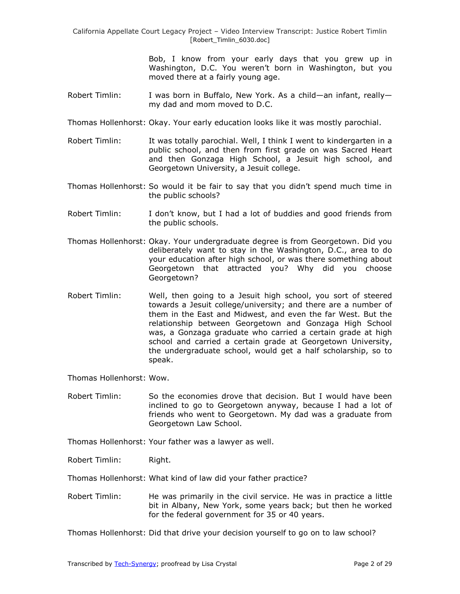> Bob, I know from your early days that you grew up in Washington, D.C. You weren't born in Washington, but you moved there at a fairly young age.

- Robert Timlin: I was born in Buffalo, New York. As a child—an infant, really my dad and mom moved to D.C.
- Thomas Hollenhorst: Okay. Your early education looks like it was mostly parochial.
- Robert Timlin: It was totally parochial. Well, I think I went to kindergarten in a public school, and then from first grade on was Sacred Heart and then Gonzaga High School, a Jesuit high school, and Georgetown University, a Jesuit college.
- Thomas Hollenhorst: So would it be fair to say that you didn't spend much time in the public schools?
- Robert Timlin: I don't know, but I had a lot of buddies and good friends from the public schools.
- Thomas Hollenhorst: Okay. Your undergraduate degree is from Georgetown. Did you deliberately want to stay in the Washington, D.C., area to do your education after high school, or was there something about Georgetown that attracted you? Why did you choose Georgetown?
- Robert Timlin: Well, then going to a Jesuit high school, you sort of steered towards a Jesuit college/university; and there are a number of them in the East and Midwest, and even the far West. But the relationship between Georgetown and Gonzaga High School was, a Gonzaga graduate who carried a certain grade at high school and carried a certain grade at Georgetown University, the undergraduate school, would get a half scholarship, so to speak.

Thomas Hollenhorst: Wow.

- Robert Timlin: So the economies drove that decision. But I would have been inclined to go to Georgetown anyway, because I had a lot of friends who went to Georgetown. My dad was a graduate from Georgetown Law School.
- Thomas Hollenhorst: Your father was a lawyer as well.

Robert Timlin: Right.

Thomas Hollenhorst: What kind of law did your father practice?

Robert Timlin: He was primarily in the civil service. He was in practice a little bit in Albany, New York, some years back; but then he worked for the federal government for 35 or 40 years.

Thomas Hollenhorst: Did that drive your decision yourself to go on to law school?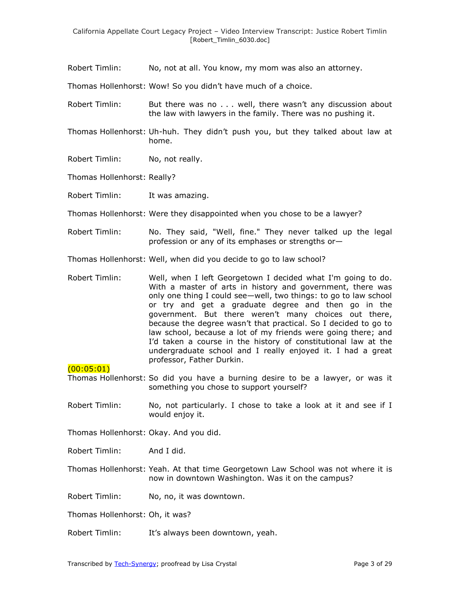Robert Timlin: No, not at all. You know, my mom was also an attorney.

Thomas Hollenhorst: Wow! So you didn't have much of a choice.

- Robert Timlin: But there was no . . . well, there wasn't any discussion about the law with lawyers in the family. There was no pushing it.
- Thomas Hollenhorst: Uh-huh. They didn't push you, but they talked about law at home.
- Robert Timlin: No, not really.
- Thomas Hollenhorst: Really?

Robert Timlin: It was amazing.

Thomas Hollenhorst: Were they disappointed when you chose to be a lawyer?

- Robert Timlin: No. They said, "Well, fine." They never talked up the legal profession or any of its emphases or strengths or—
- Thomas Hollenhorst: Well, when did you decide to go to law school?
- Robert Timlin: Well, when I left Georgetown I decided what I'm going to do. With a master of arts in history and government, there was only one thing I could see—well, two things: to go to law school or try and get a graduate degree and then go in the government. But there weren't many choices out there, because the degree wasn't that practical. So I decided to go to law school, because a lot of my friends were going there; and I'd taken a course in the history of constitutional law at the undergraduate school and I really enjoyed it. I had a great professor, Father Durkin.

 $(00:05:01)$ 

- Thomas Hollenhorst: So did you have a burning desire to be a lawyer, or was it something you chose to support yourself?
- Robert Timlin: No, not particularly. I chose to take a look at it and see if I would enjoy it.

Thomas Hollenhorst: Okay. And you did.

Robert Timlin: And I did.

Thomas Hollenhorst: Yeah. At that time Georgetown Law School was not where it is now in downtown Washington. Was it on the campus?

Robert Timlin: No, no, it was downtown.

Thomas Hollenhorst: Oh, it was?

Robert Timlin: It's always been downtown, yeah.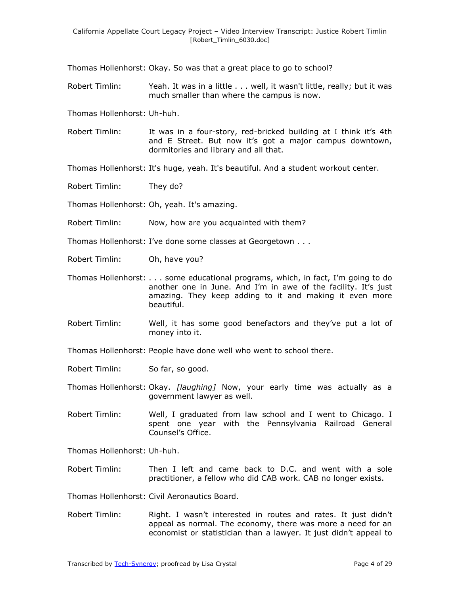Thomas Hollenhorst: Okay. So was that a great place to go to school?

Robert Timlin: Yeah. It was in a little . . . well, it wasn't little, really; but it was much smaller than where the campus is now.

Thomas Hollenhorst: Uh-huh.

Robert Timlin: It was in a four-story, red-bricked building at I think it's 4th and E Street. But now it's got a major campus downtown, dormitories and library and all that.

Thomas Hollenhorst: It's huge, yeah. It's beautiful. And a student workout center.

Robert Timlin: They do?

Thomas Hollenhorst: Oh, yeah. It's amazing.

Robert Timlin: Now, how are you acquainted with them?

Thomas Hollenhorst: I've done some classes at Georgetown . . .

- Robert Timlin: Oh, have you?
- Thomas Hollenhorst: . . . some educational programs, which, in fact, I'm going to do another one in June. And I'm in awe of the facility. It's just amazing. They keep adding to it and making it even more beautiful.
- Robert Timlin: Well, it has some good benefactors and they've put a lot of money into it.
- Thomas Hollenhorst: People have done well who went to school there.
- Robert Timlin: So far, so good.
- Thomas Hollenhorst: Okay. *[laughing]* Now, your early time was actually as a government lawyer as well.
- Robert Timlin: Well, I graduated from law school and I went to Chicago. I spent one year with the Pennsylvania Railroad General Counsel's Office.

Thomas Hollenhorst: Uh-huh.

Robert Timlin: Then I left and came back to D.C. and went with a sole practitioner, a fellow who did CAB work. CAB no longer exists.

Thomas Hollenhorst: Civil Aeronautics Board.

Robert Timlin: Right. I wasn't interested in routes and rates. It just didn't appeal as normal. The economy, there was more a need for an economist or statistician than a lawyer. It just didn't appeal to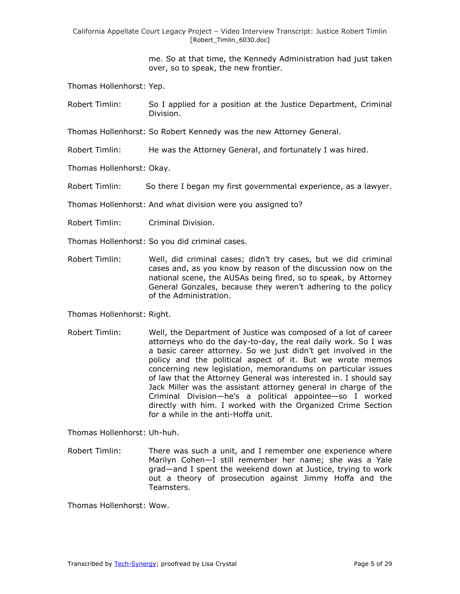> me. So at that time, the Kennedy Administration had just taken over, so to speak, the new frontier.

Thomas Hollenhorst: Yep.

Robert Timlin: So I applied for a position at the Justice Department, Criminal Division.

Thomas Hollenhorst: So Robert Kennedy was the new Attorney General.

Robert Timlin: He was the Attorney General, and fortunately I was hired.

Thomas Hollenhorst: Okay.

Robert Timlin: So there I began my first governmental experience, as a lawyer.

Thomas Hollenhorst: And what division were you assigned to?

- Robert Timlin: Criminal Division.
- Thomas Hollenhorst: So you did criminal cases.
- Robert Timlin: Well, did criminal cases; didn't try cases, but we did criminal cases and, as you know by reason of the discussion now on the national scene, the AUSAs being fired, so to speak, by Attorney General Gonzales, because they weren't adhering to the policy of the Administration.

Thomas Hollenhorst: Right.

Robert Timlin: Well, the Department of Justice was composed of a lot of career attorneys who do the day-to-day, the real daily work. So I was a basic career attorney. So we just didn't get involved in the policy and the political aspect of it. But we wrote memos concerning new legislation, memorandums on particular issues of law that the Attorney General was interested in. I should say Jack Miller was the assistant attorney general in charge of the Criminal Division—he's a political appointee—so I worked directly with him. I worked with the Organized Crime Section for a while in the anti-Hoffa unit.

Thomas Hollenhorst: Uh-huh.

Robert Timlin: There was such a unit, and I remember one experience where Marilyn Cohen—I still remember her name; she was a Yale grad—and I spent the weekend down at Justice, trying to work out a theory of prosecution against Jimmy Hoffa and the Teamsters.

Thomas Hollenhorst: Wow.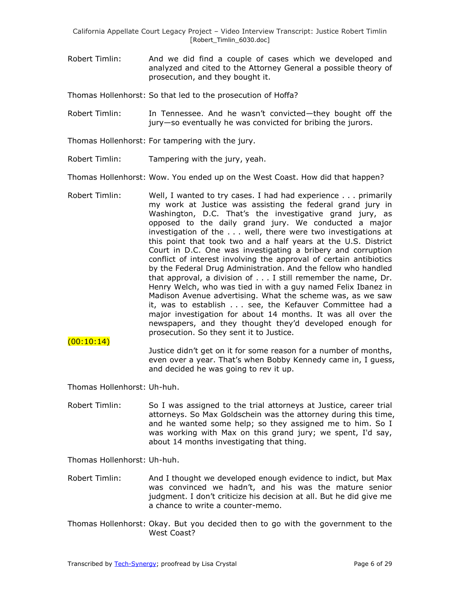Robert Timlin: And we did find a couple of cases which we developed and analyzed and cited to the Attorney General a possible theory of prosecution, and they bought it.

Thomas Hollenhorst: So that led to the prosecution of Hoffa?

- Robert Timlin: In Tennessee. And he wasn't convicted—they bought off the jury—so eventually he was convicted for bribing the jurors.
- Thomas Hollenhorst: For tampering with the jury.
- Robert Timlin: Tampering with the jury, yeah.
- Thomas Hollenhorst: Wow. You ended up on the West Coast. How did that happen?
- Robert Timlin: Well, I wanted to try cases. I had had experience . . . primarily my work at Justice was assisting the federal grand jury in Washington, D.C. That's the investigative grand jury, as opposed to the daily grand jury. We conducted a major investigation of the . . . well, there were two investigations at this point that took two and a half years at the U.S. District Court in D.C. One was investigating a bribery and corruption conflict of interest involving the approval of certain antibiotics by the Federal Drug Administration. And the fellow who handled that approval, a division of . . . I still remember the name, Dr. Henry Welch, who was tied in with a guy named Felix Ibanez in Madison Avenue advertising. What the scheme was, as we saw it, was to establish . . . see, the Kefauver Committee had a major investigation for about 14 months. It was all over the newspapers, and they thought they'd developed enough for prosecution. So they sent it to Justice.
	- Justice didn't get on it for some reason for a number of months, even over a year. That's when Bobby Kennedy came in, I guess, and decided he was going to rev it up.

Thomas Hollenhorst: Uh-huh.

 $(00:10:14)$ 

Robert Timlin: So I was assigned to the trial attorneys at Justice, career trial attorneys. So Max Goldschein was the attorney during this time, and he wanted some help; so they assigned me to him. So I was working with Max on this grand jury; we spent, I'd say, about 14 months investigating that thing.

Thomas Hollenhorst: Uh-huh.

- Robert Timlin: And I thought we developed enough evidence to indict, but Max was convinced we hadn't, and his was the mature senior judgment. I don't criticize his decision at all. But he did give me a chance to write a counter-memo.
- Thomas Hollenhorst: Okay. But you decided then to go with the government to the West Coast?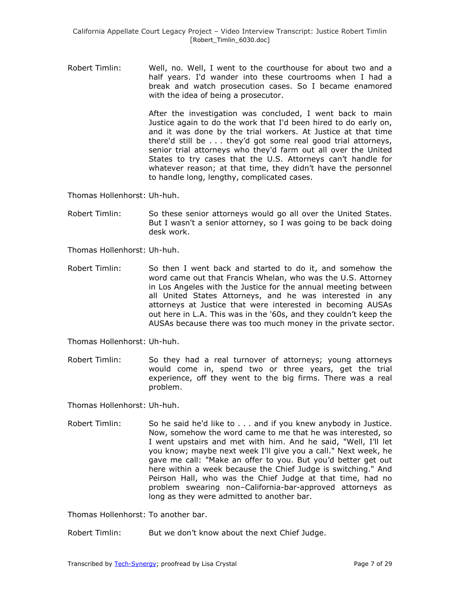Robert Timlin: Well, no. Well, I went to the courthouse for about two and a half years. I'd wander into these courtrooms when I had a break and watch prosecution cases. So I became enamored with the idea of being a prosecutor.

> After the investigation was concluded, I went back to main Justice again to do the work that I'd been hired to do early on, and it was done by the trial workers. At Justice at that time there'd still be . . . they'd got some real good trial attorneys, senior trial attorneys who they'd farm out all over the United States to try cases that the U.S. Attorneys can't handle for whatever reason; at that time, they didn't have the personnel to handle long, lengthy, complicated cases.

Thomas Hollenhorst: Uh-huh.

- Robert Timlin: So these senior attorneys would go all over the United States. But I wasn't a senior attorney, so I was going to be back doing desk work.
- Thomas Hollenhorst: Uh-huh.
- Robert Timlin: So then I went back and started to do it, and somehow the word came out that Francis Whelan, who was the U.S. Attorney in Los Angeles with the Justice for the annual meeting between all United States Attorneys, and he was interested in any attorneys at Justice that were interested in becoming AUSAs out here in L.A. This was in the '60s, and they couldn't keep the AUSAs because there was too much money in the private sector.

Thomas Hollenhorst: Uh-huh.

Robert Timlin: So they had a real turnover of attorneys; young attorneys would come in, spend two or three years, get the trial experience, off they went to the big firms. There was a real problem.

Thomas Hollenhorst: Uh-huh.

Robert Timlin: So he said he'd like to . . . and if you knew anybody in Justice. Now, somehow the word came to me that he was interested, so I went upstairs and met with him. And he said, "Well, I'll let you know; maybe next week I'll give you a call." Next week, he gave me call: "Make an offer to you. But you'd better get out here within a week because the Chief Judge is switching." And Peirson Hall, who was the Chief Judge at that time, had no problem swearing non–California-bar-approved attorneys as long as they were admitted to another bar.

Thomas Hollenhorst: To another bar.

Robert Timlin: But we don't know about the next Chief Judge.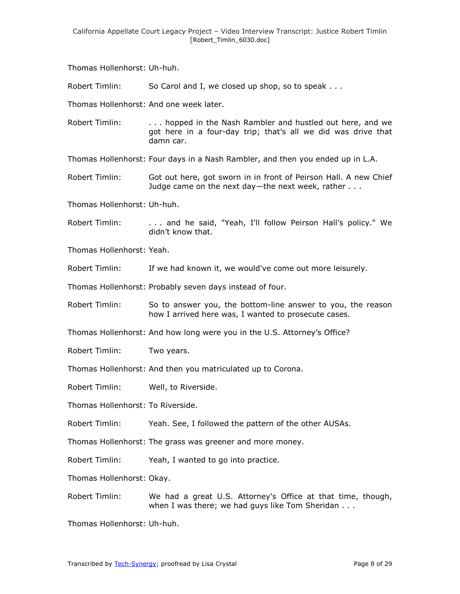Thomas Hollenhorst: Uh-huh.

Robert Timlin: So Carol and I, we closed up shop, so to speak . . .

Thomas Hollenhorst: And one week later.

Robert Timlin: ... hopped in the Nash Rambler and hustled out here, and we got here in a four-day trip; that's all we did was drive that damn car.

Thomas Hollenhorst: Four days in a Nash Rambler, and then you ended up in L.A.

Robert Timlin: Got out here, got sworn in in front of Peirson Hall. A new Chief Judge came on the next day—the next week, rather . . .

Thomas Hollenhorst: Uh-huh.

Robert Timlin: . . . . and he said, "Yeah, I'll follow Peirson Hall's policy." We didn't know that.

Thomas Hollenhorst: Yeah.

Robert Timlin: If we had known it, we would've come out more leisurely.

Thomas Hollenhorst: Probably seven days instead of four.

Robert Timlin: So to answer you, the bottom-line answer to you, the reason how I arrived here was, I wanted to prosecute cases.

Thomas Hollenhorst: And how long were you in the U.S. Attorney's Office?

Robert Timlin: Two years.

Thomas Hollenhorst: And then you matriculated up to Corona.

Robert Timlin: Well, to Riverside.

Thomas Hollenhorst: To Riverside.

Robert Timlin: Yeah. See, I followed the pattern of the other AUSAs.

Thomas Hollenhorst: The grass was greener and more money.

Robert Timlin: Yeah, I wanted to go into practice.

Thomas Hollenhorst: Okay.

Robert Timlin: We had a great U.S. Attorney's Office at that time, though, when I was there; we had guys like Tom Sheridan . . .

Thomas Hollenhorst: Uh-huh.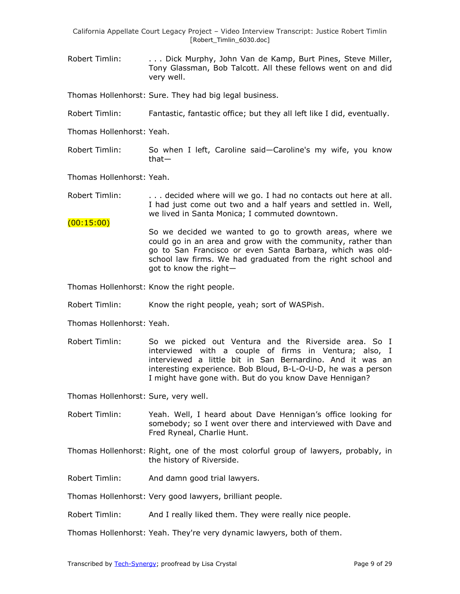Robert Timlin: . . . Dick Murphy, John Van de Kamp, Burt Pines, Steve Miller, Tony Glassman, Bob Talcott. All these fellows went on and did very well.

Thomas Hollenhorst: Sure. They had big legal business.

Robert Timlin: Fantastic, fantastic office; but they all left like I did, eventually.

Thomas Hollenhorst: Yeah.

Robert Timlin: So when I left, Caroline said—Caroline's my wife, you know that—

Thomas Hollenhorst: Yeah.

(00:15:00)

Robert Timlin: . . . . decided where will we go. I had no contacts out here at all. I had just come out two and a half years and settled in. Well, we lived in Santa Monica; I commuted downtown.

So we decided we wanted to go to growth areas, where we could go in an area and grow with the community, rather than go to San Francisco or even Santa Barbara, which was oldschool law firms. We had graduated from the right school and got to know the right—

Thomas Hollenhorst: Know the right people.

- Robert Timlin: Know the right people, yeah; sort of WASPish.
- Thomas Hollenhorst: Yeah.
- Robert Timlin: So we picked out Ventura and the Riverside area. So I interviewed with a couple of firms in Ventura; also, I interviewed a little bit in San Bernardino. And it was an interesting experience. Bob Bloud, B-L-O-U-D, he was a person I might have gone with. But do you know Dave Hennigan?

Thomas Hollenhorst: Sure, very well.

- Robert Timlin: Yeah. Well, I heard about Dave Hennigan's office looking for somebody; so I went over there and interviewed with Dave and Fred Ryneal, Charlie Hunt.
- Thomas Hollenhorst: Right, one of the most colorful group of lawyers, probably, in the history of Riverside.

Robert Timlin: And damn good trial lawyers.

Thomas Hollenhorst: Very good lawyers, brilliant people.

Robert Timlin: And I really liked them. They were really nice people.

Thomas Hollenhorst: Yeah. They're very dynamic lawyers, both of them.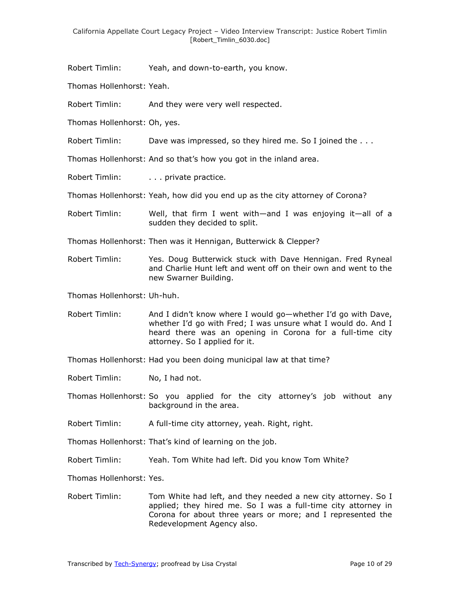Robert Timlin: Yeah, and down-to-earth, you know.

Thomas Hollenhorst: Yeah.

- Robert Timlin: And they were very well respected.
- Thomas Hollenhorst: Oh, yes.
- Robert Timlin: Dave was impressed, so they hired me. So I joined the . . .

Thomas Hollenhorst: And so that's how you got in the inland area.

Robert Timlin: . . . . . private practice.

Thomas Hollenhorst: Yeah, how did you end up as the city attorney of Corona?

- Robert Timlin: Well, that firm I went with—and I was enjoying it—all of a sudden they decided to split.
- Thomas Hollenhorst: Then was it Hennigan, Butterwick & Clepper?
- Robert Timlin: Yes. Doug Butterwick stuck with Dave Hennigan. Fred Ryneal and Charlie Hunt left and went off on their own and went to the new Swarner Building.

Thomas Hollenhorst: Uh-huh.

Robert Timlin: And I didn't know where I would go—whether I'd go with Dave, whether I'd go with Fred; I was unsure what I would do. And I heard there was an opening in Corona for a full-time city attorney. So I applied for it.

Thomas Hollenhorst: Had you been doing municipal law at that time?

Robert Timlin: No, I had not.

Thomas Hollenhorst: So you applied for the city attorney's job without any background in the area.

Robert Timlin: A full-time city attorney, yeah. Right, right.

Thomas Hollenhorst: That's kind of learning on the job.

Robert Timlin: Yeah. Tom White had left. Did you know Tom White?

Thomas Hollenhorst: Yes.

Robert Timlin: Tom White had left, and they needed a new city attorney. So I applied; they hired me. So I was a full-time city attorney in Corona for about three years or more; and I represented the Redevelopment Agency also.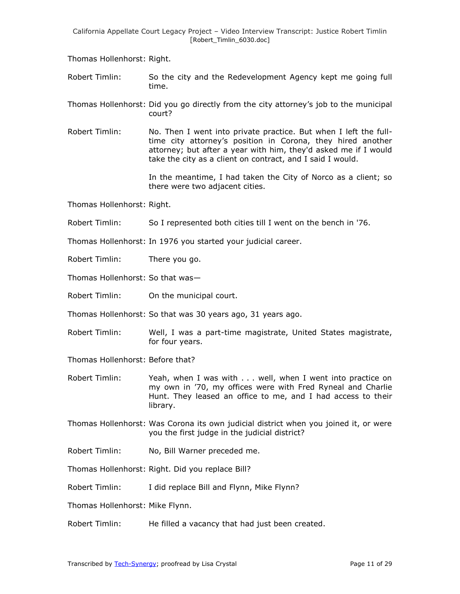Thomas Hollenhorst: Right.

- Robert Timlin: So the city and the Redevelopment Agency kept me going full time.
- Thomas Hollenhorst: Did you go directly from the city attorney's job to the municipal court?
- Robert Timlin: No. Then I went into private practice. But when I left the fulltime city attorney's position in Corona, they hired another attorney; but after a year with him, they'd asked me if I would take the city as a client on contract, and I said I would.

In the meantime, I had taken the City of Norco as a client; so there were two adjacent cities.

Thomas Hollenhorst: Right.

Robert Timlin: So I represented both cities till I went on the bench in '76.

Thomas Hollenhorst: In 1976 you started your judicial career.

Robert Timlin: There you go.

Thomas Hollenhorst: So that was—

Robert Timlin: On the municipal court.

Thomas Hollenhorst: So that was 30 years ago, 31 years ago.

Robert Timlin: Well, I was a part-time magistrate, United States magistrate, for four years.

Thomas Hollenhorst: Before that?

- Robert Timlin: Yeah, when I was with . . . well, when I went into practice on my own in '70, my offices were with Fred Ryneal and Charlie Hunt. They leased an office to me, and I had access to their library.
- Thomas Hollenhorst: Was Corona its own judicial district when you joined it, or were you the first judge in the judicial district?
- Robert Timlin: No, Bill Warner preceded me.
- Thomas Hollenhorst: Right. Did you replace Bill?
- Robert Timlin: I did replace Bill and Flynn, Mike Flynn?

Thomas Hollenhorst: Mike Flynn.

Robert Timlin: He filled a vacancy that had just been created.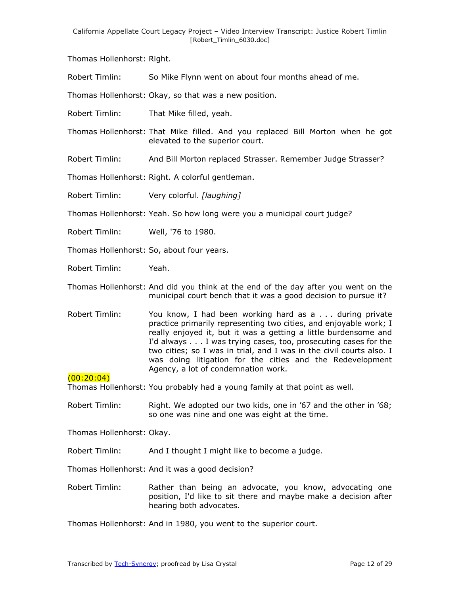Thomas Hollenhorst: Right.

Robert Timlin: So Mike Flynn went on about four months ahead of me.

Thomas Hollenhorst: Okay, so that was a new position.

Robert Timlin: That Mike filled, yeah.

Thomas Hollenhorst: That Mike filled. And you replaced Bill Morton when he got elevated to the superior court.

Robert Timlin: And Bill Morton replaced Strasser. Remember Judge Strasser?

Thomas Hollenhorst: Right. A colorful gentleman.

Robert Timlin: Very colorful. *[laughing]*

Thomas Hollenhorst: Yeah. So how long were you a municipal court judge?

- Robert Timlin: Well, '76 to 1980.
- Thomas Hollenhorst: So, about four years.
- Robert Timlin: Yeah.
- Thomas Hollenhorst: And did you think at the end of the day after you went on the municipal court bench that it was a good decision to pursue it?
- Robert Timlin: You know, I had been working hard as a . . . during private practice primarily representing two cities, and enjoyable work; I really enjoyed it, but it was a getting a little burdensome and I'd always . . . I was trying cases, too, prosecuting cases for the two cities; so I was in trial, and I was in the civil courts also. I was doing litigation for the cities and the Redevelopment Agency, a lot of condemnation work.

 $(00:20:04)$ 

Thomas Hollenhorst: You probably had a young family at that point as well.

Robert Timlin: Right. We adopted our two kids, one in '67 and the other in '68; so one was nine and one was eight at the time.

Thomas Hollenhorst: Okay.

Robert Timlin: And I thought I might like to become a judge.

Thomas Hollenhorst: And it was a good decision?

Robert Timlin: Rather than being an advocate, you know, advocating one position, I'd like to sit there and maybe make a decision after hearing both advocates.

Thomas Hollenhorst: And in 1980, you went to the superior court.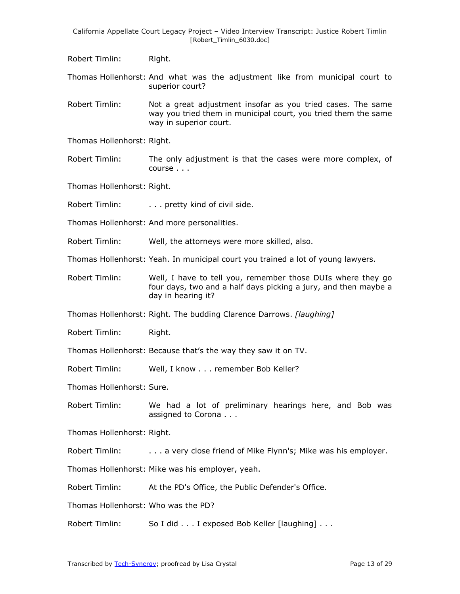Robert Timlin: Right.

Thomas Hollenhorst: And what was the adjustment like from municipal court to superior court?

Robert Timlin: Not a great adjustment insofar as you tried cases. The same way you tried them in municipal court, you tried them the same way in superior court.

Thomas Hollenhorst: Right.

Robert Timlin: The only adjustment is that the cases were more complex, of course . . .

Thomas Hollenhorst: Right.

Robert Timlin: . . . . . pretty kind of civil side.

Thomas Hollenhorst: And more personalities.

Robert Timlin: Well, the attorneys were more skilled, also.

Thomas Hollenhorst: Yeah. In municipal court you trained a lot of young lawyers.

Robert Timlin: Well, I have to tell you, remember those DUIs where they go four days, two and a half days picking a jury, and then maybe a day in hearing it?

Thomas Hollenhorst: Right. The budding Clarence Darrows. *[laughing]*

Robert Timlin: Right.

Thomas Hollenhorst: Because that's the way they saw it on TV.

Robert Timlin: Well, I know . . . remember Bob Keller?

Thomas Hollenhorst: Sure.

Robert Timlin: We had a lot of preliminary hearings here, and Bob was assigned to Corona . . .

Thomas Hollenhorst: Right.

Robert Timlin: . . . . a very close friend of Mike Flynn's; Mike was his employer.

Thomas Hollenhorst: Mike was his employer, yeah.

Robert Timlin: At the PD's Office, the Public Defender's Office.

Thomas Hollenhorst: Who was the PD?

Robert Timlin: So I did . . . I exposed Bob Keller [laughing] . . .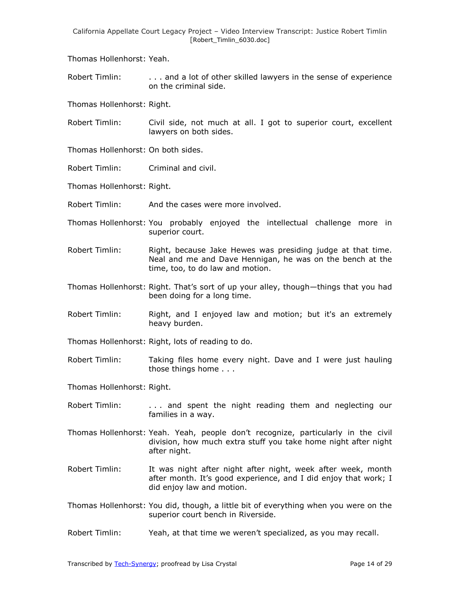Thomas Hollenhorst: Yeah.

Robert Timlin: . . . . . . . . and a lot of other skilled lawyers in the sense of experience on the criminal side.

Thomas Hollenhorst: Right.

- Robert Timlin: Civil side, not much at all. I got to superior court, excellent lawyers on both sides.
- Thomas Hollenhorst: On both sides.
- Robert Timlin: Criminal and civil.
- Thomas Hollenhorst: Right.
- Robert Timlin: And the cases were more involved.
- Thomas Hollenhorst: You probably enjoyed the intellectual challenge more in superior court.
- Robert Timlin: Right, because Jake Hewes was presiding judge at that time. Neal and me and Dave Hennigan, he was on the bench at the time, too, to do law and motion.
- Thomas Hollenhorst: Right. That's sort of up your alley, though—things that you had been doing for a long time.
- Robert Timlin: Right, and I enjoyed law and motion; but it's an extremely heavy burden.
- Thomas Hollenhorst: Right, lots of reading to do.
- Robert Timlin: Taking files home every night. Dave and I were just hauling those things home . . .
- Thomas Hollenhorst: Right.
- Robert Timlin: ... and spent the night reading them and neglecting our families in a way.
- Thomas Hollenhorst: Yeah. Yeah, people don't recognize, particularly in the civil division, how much extra stuff you take home night after night after night.
- Robert Timlin: It was night after night after night, week after week, month after month. It's good experience, and I did enjoy that work; I did enjoy law and motion.
- Thomas Hollenhorst: You did, though, a little bit of everything when you were on the superior court bench in Riverside.
- Robert Timlin: Yeah, at that time we weren't specialized, as you may recall.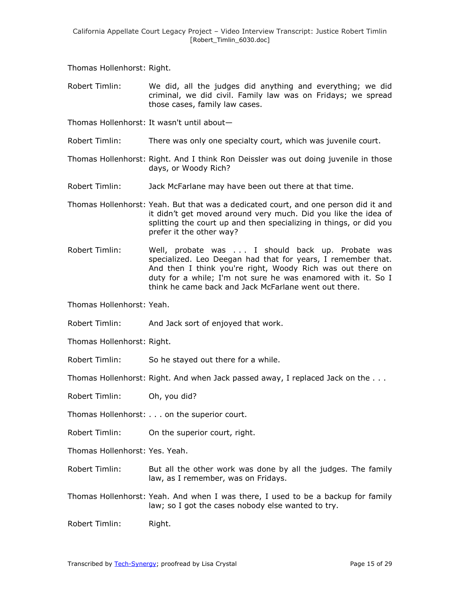Thomas Hollenhorst: Right.

- Robert Timlin: We did, all the judges did anything and everything; we did criminal, we did civil. Family law was on Fridays; we spread those cases, family law cases.
- Thomas Hollenhorst: It wasn't until about—
- Robert Timlin: There was only one specialty court, which was juvenile court.
- Thomas Hollenhorst: Right. And I think Ron Deissler was out doing juvenile in those days, or Woody Rich?
- Robert Timlin: Jack McFarlane may have been out there at that time.
- Thomas Hollenhorst: Yeah. But that was a dedicated court, and one person did it and it didn't get moved around very much. Did you like the idea of splitting the court up and then specializing in things, or did you prefer it the other way?
- Robert Timlin: Well, probate was . . . I should back up. Probate was specialized. Leo Deegan had that for years, I remember that. And then I think you're right, Woody Rich was out there on duty for a while; I'm not sure he was enamored with it. So I think he came back and Jack McFarlane went out there.

Thomas Hollenhorst: Yeah.

Robert Timlin: And Jack sort of enjoyed that work.

Thomas Hollenhorst: Right.

Robert Timlin: So he stayed out there for a while.

Thomas Hollenhorst: Right. And when Jack passed away, I replaced Jack on the . . .

Robert Timlin: Oh, you did?

Thomas Hollenhorst: . . . on the superior court.

Robert Timlin: On the superior court, right.

Thomas Hollenhorst: Yes. Yeah.

- Robert Timlin: But all the other work was done by all the judges. The family law, as I remember, was on Fridays.
- Thomas Hollenhorst: Yeah. And when I was there, I used to be a backup for family law; so I got the cases nobody else wanted to try.

Robert Timlin: Right.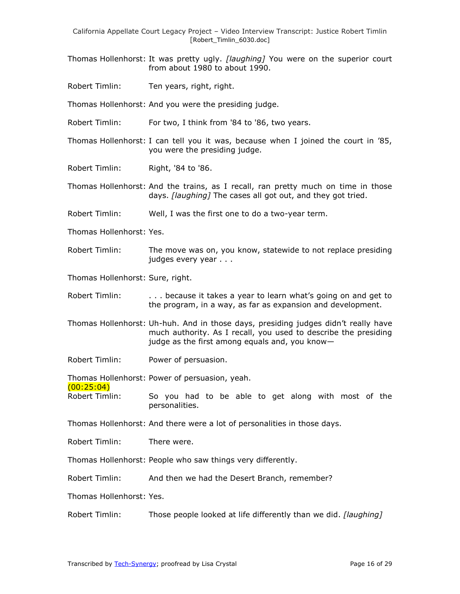- Thomas Hollenhorst: It was pretty ugly. *[laughing]* You were on the superior court from about 1980 to about 1990.
- Robert Timlin: Ten years, right, right.

Thomas Hollenhorst: And you were the presiding judge.

- Robert Timlin: For two, I think from '84 to '86, two years.
- Thomas Hollenhorst: I can tell you it was, because when I joined the court in '85, you were the presiding judge.
- Robert Timlin: Right, '84 to '86.
- Thomas Hollenhorst: And the trains, as I recall, ran pretty much on time in those days. *[laughing]* The cases all got out, and they got tried.
- Robert Timlin: Well, I was the first one to do a two-year term.
- Thomas Hollenhorst: Yes.
- Robert Timlin: The move was on, you know, statewide to not replace presiding judges every year . . .
- Thomas Hollenhorst: Sure, right.
- Robert Timlin: . . . . because it takes a year to learn what's going on and get to the program, in a way, as far as expansion and development.
- Thomas Hollenhorst: Uh-huh. And in those days, presiding judges didn't really have much authority. As I recall, you used to describe the presiding judge as the first among equals and, you know—
- Robert Timlin: Power of persuasion.

Thomas Hollenhorst: Power of persuasion, yeah.

- $(00:25:04)$
- Robert Timlin: So you had to be able to get along with most of the personalities.
- Thomas Hollenhorst: And there were a lot of personalities in those days.
- Robert Timlin: There were.
- Thomas Hollenhorst: People who saw things very differently.
- Robert Timlin: And then we had the Desert Branch, remember?
- Thomas Hollenhorst: Yes.
- Robert Timlin: Those people looked at life differently than we did. *[laughing]*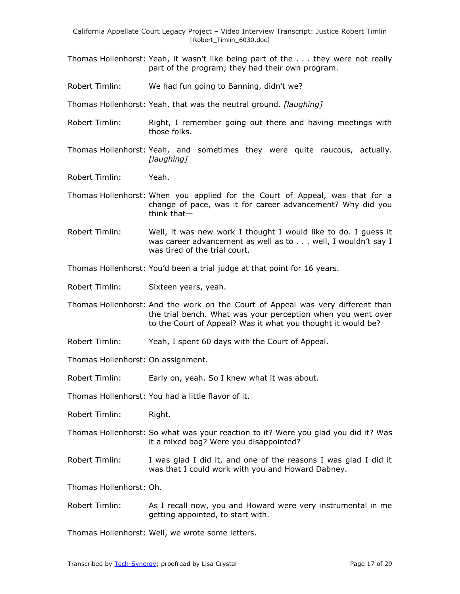- Thomas Hollenhorst: Yeah, it wasn't like being part of the . . . they were not really part of the program; they had their own program.
- Robert Timlin: We had fun going to Banning, didn't we?

Thomas Hollenhorst: Yeah, that was the neutral ground. *[laughing]*

- Robert Timlin: Right, I remember going out there and having meetings with those folks.
- Thomas Hollenhorst: Yeah, and sometimes they were quite raucous, actually. *[laughing]*
- Robert Timlin: Yeah.
- Thomas Hollenhorst: When you applied for the Court of Appeal, was that for a change of pace, was it for career advancement? Why did you think that—
- Robert Timlin: Well, it was new work I thought I would like to do. I guess it was career advancement as well as to . . . well, I wouldn't say I was tired of the trial court.
- Thomas Hollenhorst: You'd been a trial judge at that point for 16 years.
- Robert Timlin: Sixteen years, yeah.
- Thomas Hollenhorst: And the work on the Court of Appeal was very different than the trial bench. What was your perception when you went over to the Court of Appeal? Was it what you thought it would be?
- Robert Timlin: Yeah, I spent 60 days with the Court of Appeal.
- Thomas Hollenhorst: On assignment.
- Robert Timlin: Early on, yeah. So I knew what it was about.
- Thomas Hollenhorst: You had a little flavor of it.
- Robert Timlin: Right.
- Thomas Hollenhorst: So what was your reaction to it? Were you glad you did it? Was it a mixed bag? Were you disappointed?
- Robert Timlin: I was glad I did it, and one of the reasons I was glad I did it was that I could work with you and Howard Dabney.

Thomas Hollenhorst: Oh.

Robert Timlin: As I recall now, you and Howard were very instrumental in me getting appointed, to start with.

Thomas Hollenhorst: Well, we wrote some letters.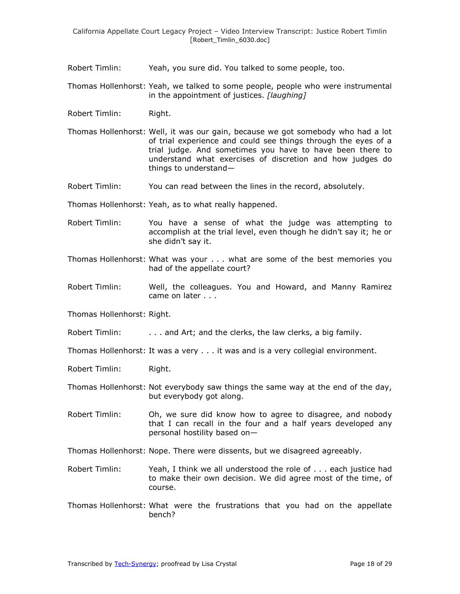- Robert Timlin: Yeah, you sure did. You talked to some people, too.
- Thomas Hollenhorst: Yeah, we talked to some people, people who were instrumental in the appointment of justices. *[laughing]*
- Robert Timlin: Right.
- Thomas Hollenhorst: Well, it was our gain, because we got somebody who had a lot of trial experience and could see things through the eyes of a trial judge. And sometimes you have to have been there to understand what exercises of discretion and how judges do things to understand—
- Robert Timlin: You can read between the lines in the record, absolutely.
- Thomas Hollenhorst: Yeah, as to what really happened.
- Robert Timlin: You have a sense of what the judge was attempting to accomplish at the trial level, even though he didn't say it; he or she didn't say it.
- Thomas Hollenhorst: What was your . . . what are some of the best memories you had of the appellate court?
- Robert Timlin: Well, the colleagues. You and Howard, and Manny Ramirez came on later . . .
- Thomas Hollenhorst: Right.
- Robert Timlin: . . . . . . . . and Art; and the clerks, the law clerks, a big family.
- Thomas Hollenhorst: It was a very . . . it was and is a very collegial environment.
- Robert Timlin: Right.
- Thomas Hollenhorst: Not everybody saw things the same way at the end of the day, but everybody got along.
- Robert Timlin: Oh, we sure did know how to agree to disagree, and nobody that I can recall in the four and a half years developed any personal hostility based on—
- Thomas Hollenhorst: Nope. There were dissents, but we disagreed agreeably.
- Robert Timlin: Yeah, I think we all understood the role of . . . each justice had to make their own decision. We did agree most of the time, of course.
- Thomas Hollenhorst: What were the frustrations that you had on the appellate bench?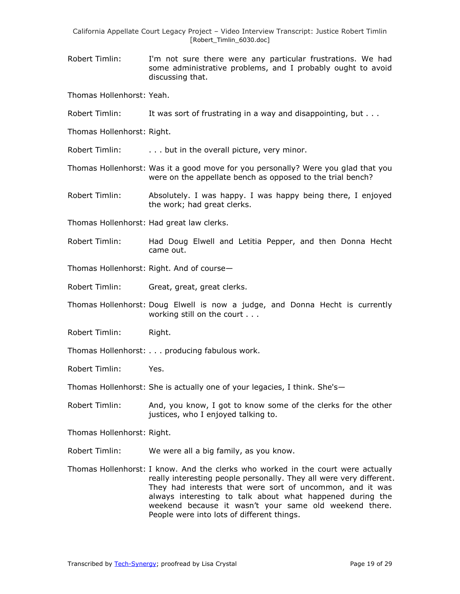Robert Timlin: I'm not sure there were any particular frustrations. We had some administrative problems, and I probably ought to avoid discussing that.

Thomas Hollenhorst: Yeah.

- Robert Timlin: It was sort of frustrating in a way and disappointing, but . . .
- Thomas Hollenhorst: Right.

Robert Timlin: . . . . but in the overall picture, very minor.

- Thomas Hollenhorst: Was it a good move for you personally? Were you glad that you were on the appellate bench as opposed to the trial bench?
- Robert Timlin: Absolutely. I was happy. I was happy being there, I enjoyed the work; had great clerks.
- Thomas Hollenhorst: Had great law clerks.
- Robert Timlin: Had Doug Elwell and Letitia Pepper, and then Donna Hecht came out.
- Thomas Hollenhorst: Right. And of course—
- Robert Timlin: Great, great, great clerks.
- Thomas Hollenhorst: Doug Elwell is now a judge, and Donna Hecht is currently working still on the court . . .
- Robert Timlin: Right.
- Thomas Hollenhorst: . . . producing fabulous work.
- Robert Timlin: Yes.
- Thomas Hollenhorst: She is actually one of your legacies, I think. She's—
- Robert Timlin: And, you know, I got to know some of the clerks for the other justices, who I enjoyed talking to.
- Thomas Hollenhorst: Right.
- Robert Timlin: We were all a big family, as you know.
- Thomas Hollenhorst: I know. And the clerks who worked in the court were actually really interesting people personally. They all were very different. They had interests that were sort of uncommon, and it was always interesting to talk about what happened during the weekend because it wasn't your same old weekend there. People were into lots of different things.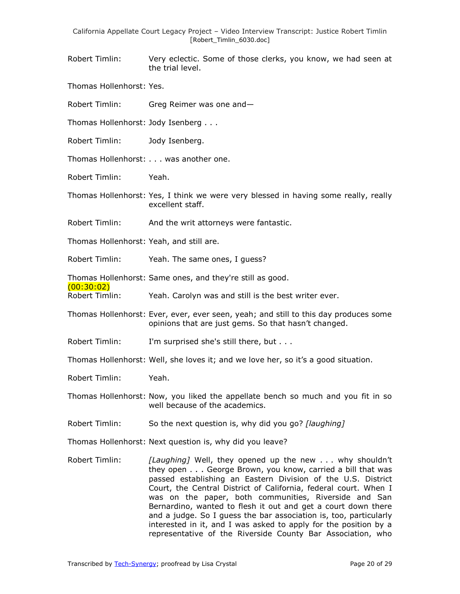Robert Timlin: Very eclectic. Some of those clerks, you know, we had seen at the trial level.

Thomas Hollenhorst: Yes.

Robert Timlin: Greg Reimer was one and—

Thomas Hollenhorst: Jody Isenberg . . .

Robert Timlin: Jody Isenberg.

Thomas Hollenhorst: . . . was another one.

Robert Timlin: Yeah.

Thomas Hollenhorst: Yes, I think we were very blessed in having some really, really excellent staff.

Robert Timlin: And the writ attorneys were fantastic.

Thomas Hollenhorst: Yeah, and still are.

Robert Timlin: Yeah. The same ones, I guess?

Thomas Hollenhorst: Same ones, and they're still as good.

(00:30:02)

Robert Timlin: Yeah. Carolyn was and still is the best writer ever.

Thomas Hollenhorst: Ever, ever, ever seen, yeah; and still to this day produces some opinions that are just gems. So that hasn't changed.

Robert Timlin: I'm surprised she's still there, but . . .

Thomas Hollenhorst: Well, she loves it; and we love her, so it's a good situation.

Robert Timlin: Yeah.

Thomas Hollenhorst: Now, you liked the appellate bench so much and you fit in so well because of the academics.

Robert Timlin: So the next question is, why did you go? *[laughing]*

Thomas Hollenhorst: Next question is, why did you leave?

Robert Timlin: *[Laughing]* Well, they opened up the new . . . why shouldn't they open . . . George Brown, you know, carried a bill that was passed establishing an Eastern Division of the U.S. District Court, the Central District of California, federal court. When I was on the paper, both communities, Riverside and San Bernardino, wanted to flesh it out and get a court down there and a judge. So I guess the bar association is, too, particularly interested in it, and I was asked to apply for the position by a representative of the Riverside County Bar Association, who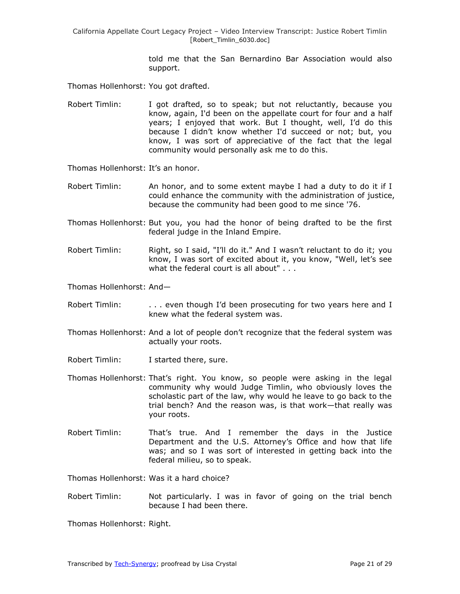> told me that the San Bernardino Bar Association would also support.

Thomas Hollenhorst: You got drafted.

Robert Timlin: I got drafted, so to speak; but not reluctantly, because you know, again, I'd been on the appellate court for four and a half years; I enjoyed that work. But I thought, well, I'd do this because I didn't know whether I'd succeed or not; but, you know, I was sort of appreciative of the fact that the legal community would personally ask me to do this.

Thomas Hollenhorst: It's an honor.

Robert Timlin: An honor, and to some extent maybe I had a duty to do it if I could enhance the community with the administration of justice, because the community had been good to me since '76.

- Thomas Hollenhorst: But you, you had the honor of being drafted to be the first federal judge in the Inland Empire.
- Robert Timlin: Right, so I said, "I'll do it." And I wasn't reluctant to do it; you know, I was sort of excited about it, you know, "Well, let's see what the federal court is all about" . . .

Thomas Hollenhorst: And—

- Robert Timlin: . . . . even though I'd been prosecuting for two years here and I knew what the federal system was.
- Thomas Hollenhorst: And a lot of people don't recognize that the federal system was actually your roots.
- Robert Timlin: I started there, sure.
- Thomas Hollenhorst: That's right. You know, so people were asking in the legal community why would Judge Timlin, who obviously loves the scholastic part of the law, why would he leave to go back to the trial bench? And the reason was, is that work—that really was your roots.
- Robert Timlin: That's true. And I remember the days in the Justice Department and the U.S. Attorney's Office and how that life was; and so I was sort of interested in getting back into the federal milieu, so to speak.

Thomas Hollenhorst: Was it a hard choice?

Robert Timlin: Not particularly. I was in favor of going on the trial bench because I had been there.

Thomas Hollenhorst: Right.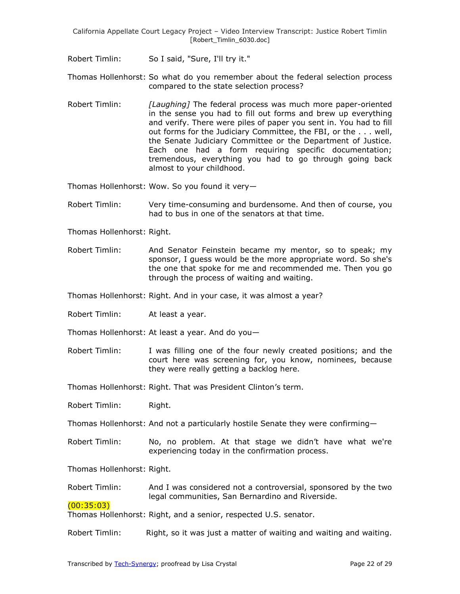Robert Timlin: So I said, "Sure, I'll try it."

Thomas Hollenhorst: So what do you remember about the federal selection process compared to the state selection process?

Robert Timlin: *[Laughing]* The federal process was much more paper-oriented in the sense you had to fill out forms and brew up everything and verify. There were piles of paper you sent in. You had to fill out forms for the Judiciary Committee, the FBI, or the . . . well, the Senate Judiciary Committee or the Department of Justice. Each one had a form requiring specific documentation; tremendous, everything you had to go through going back almost to your childhood.

Thomas Hollenhorst: Wow. So you found it very—

Robert Timlin: Very time-consuming and burdensome. And then of course, you had to bus in one of the senators at that time.

Thomas Hollenhorst: Right.

Robert Timlin: And Senator Feinstein became my mentor, so to speak; my sponsor, I guess would be the more appropriate word. So she's the one that spoke for me and recommended me. Then you go through the process of waiting and waiting.

Thomas Hollenhorst: Right. And in your case, it was almost a year?

Robert Timlin: At least a year.

Thomas Hollenhorst: At least a year. And do you—

Robert Timlin: I was filling one of the four newly created positions; and the court here was screening for, you know, nominees, because they were really getting a backlog here.

Thomas Hollenhorst: Right. That was President Clinton's term.

Robert Timlin: Right.

Thomas Hollenhorst: And not a particularly hostile Senate they were confirming—

Robert Timlin: No, no problem. At that stage we didn't have what we're experiencing today in the confirmation process.

Thomas Hollenhorst: Right.

Robert Timlin: And I was considered not a controversial, sponsored by the two legal communities, San Bernardino and Riverside.

## (00:35:03)

Thomas Hollenhorst: Right, and a senior, respected U.S. senator.

Robert Timlin: Right, so it was just a matter of waiting and waiting and waiting.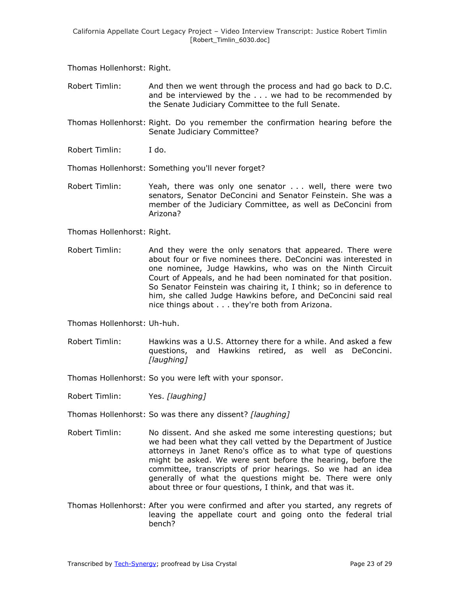Thomas Hollenhorst: Right.

- Robert Timlin: And then we went through the process and had go back to D.C. and be interviewed by the . . . we had to be recommended by the Senate Judiciary Committee to the full Senate.
- Thomas Hollenhorst: Right. Do you remember the confirmation hearing before the Senate Judiciary Committee?
- Robert Timlin: I do.
- Thomas Hollenhorst: Something you'll never forget?
- Robert Timlin: Yeah, there was only one senator . . . well, there were two senators, Senator DeConcini and Senator Feinstein. She was a member of the Judiciary Committee, as well as DeConcini from Arizona?

Thomas Hollenhorst: Right.

Robert Timlin: And they were the only senators that appeared. There were about four or five nominees there. DeConcini was interested in one nominee, Judge Hawkins, who was on the Ninth Circuit Court of Appeals, and he had been nominated for that position. So Senator Feinstein was chairing it, I think; so in deference to him, she called Judge Hawkins before, and DeConcini said real nice things about . . . they're both from Arizona.

Thomas Hollenhorst: Uh-huh.

Robert Timlin: Hawkins was a U.S. Attorney there for a while. And asked a few questions, and Hawkins retired, as well as DeConcini. *[laughing]*

Thomas Hollenhorst: So you were left with your sponsor.

Robert Timlin: Yes. *[laughing]*

Thomas Hollenhorst: So was there any dissent? *[laughing]*

- Robert Timlin: No dissent. And she asked me some interesting questions; but we had been what they call vetted by the Department of Justice attorneys in Janet Reno's office as to what type of questions might be asked. We were sent before the hearing, before the committee, transcripts of prior hearings. So we had an idea generally of what the questions might be. There were only about three or four questions, I think, and that was it.
- Thomas Hollenhorst: After you were confirmed and after you started, any regrets of leaving the appellate court and going onto the federal trial bench?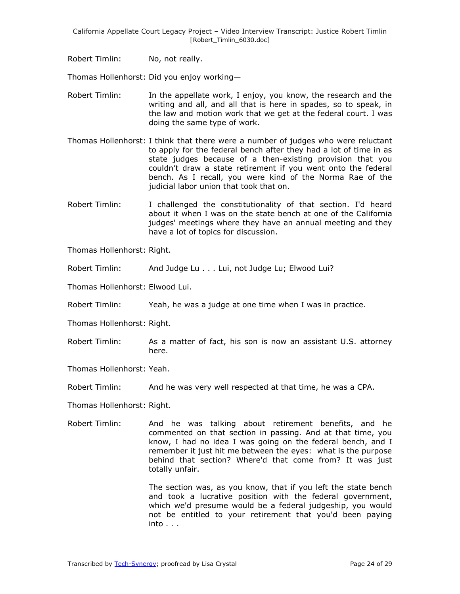Robert Timlin: No, not really.

Thomas Hollenhorst: Did you enjoy working—

- Robert Timlin: In the appellate work, I enjoy, you know, the research and the writing and all, and all that is here in spades, so to speak, in the law and motion work that we get at the federal court. I was doing the same type of work.
- Thomas Hollenhorst: I think that there were a number of judges who were reluctant to apply for the federal bench after they had a lot of time in as state judges because of a then-existing provision that you couldn't draw a state retirement if you went onto the federal bench. As I recall, you were kind of the Norma Rae of the judicial labor union that took that on.
- Robert Timlin: I challenged the constitutionality of that section. I'd heard about it when I was on the state bench at one of the California judges' meetings where they have an annual meeting and they have a lot of topics for discussion.
- Thomas Hollenhorst: Right.
- Robert Timlin: And Judge Lu . . . Lui, not Judge Lu; Elwood Lui?
- Thomas Hollenhorst: Elwood Lui.
- Robert Timlin: Yeah, he was a judge at one time when I was in practice.
- Thomas Hollenhorst: Right.
- Robert Timlin: As a matter of fact, his son is now an assistant U.S. attorney here.
- Thomas Hollenhorst: Yeah.
- Robert Timlin: And he was very well respected at that time, he was a CPA.
- Thomas Hollenhorst: Right.
- Robert Timlin: And he was talking about retirement benefits, and he commented on that section in passing. And at that time, you know, I had no idea I was going on the federal bench, and I remember it just hit me between the eyes: what is the purpose behind that section? Where'd that come from? It was just totally unfair.

The section was, as you know, that if you left the state bench and took a lucrative position with the federal government, which we'd presume would be a federal judgeship, you would not be entitled to your retirement that you'd been paying into . . .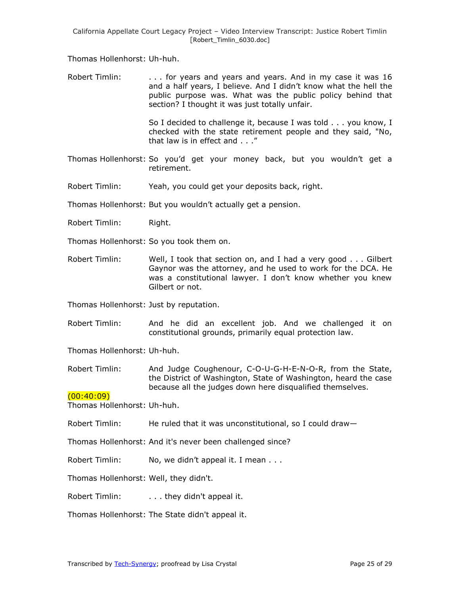Thomas Hollenhorst: Uh-huh.

Robert Timlin: ... for years and years and years. And in my case it was 16 and a half years, I believe. And I didn't know what the hell the public purpose was. What was the public policy behind that section? I thought it was just totally unfair.

> So I decided to challenge it, because I was told . . . you know, I checked with the state retirement people and they said, "No, that law is in effect and . . ."

- Thomas Hollenhorst: So you'd get your money back, but you wouldn't get a retirement.
- Robert Timlin: Yeah, you could get your deposits back, right.

Thomas Hollenhorst: But you wouldn't actually get a pension.

- Robert Timlin: Right.
- Thomas Hollenhorst: So you took them on.
- Robert Timlin: Well, I took that section on, and I had a very good . . . Gilbert Gaynor was the attorney, and he used to work for the DCA. He was a constitutional lawyer. I don't know whether you knew Gilbert or not.

Thomas Hollenhorst: Just by reputation.

Robert Timlin: And he did an excellent job. And we challenged it on constitutional grounds, primarily equal protection law.

Thomas Hollenhorst: Uh-huh.

Robert Timlin: And Judge Coughenour, C-O-U-G-H-E-N-O-R, from the State, the District of Washington, State of Washington, heard the case because all the judges down here disqualified themselves.

## $(00:40:09)$

Thomas Hollenhorst: Uh-huh.

- Robert Timlin: He ruled that it was unconstitutional, so I could draw—
- Thomas Hollenhorst: And it's never been challenged since?
- Robert Timlin: No, we didn't appeal it. I mean . . .

Thomas Hollenhorst: Well, they didn't.

Robert Timlin: . . . . . they didn't appeal it.

Thomas Hollenhorst: The State didn't appeal it.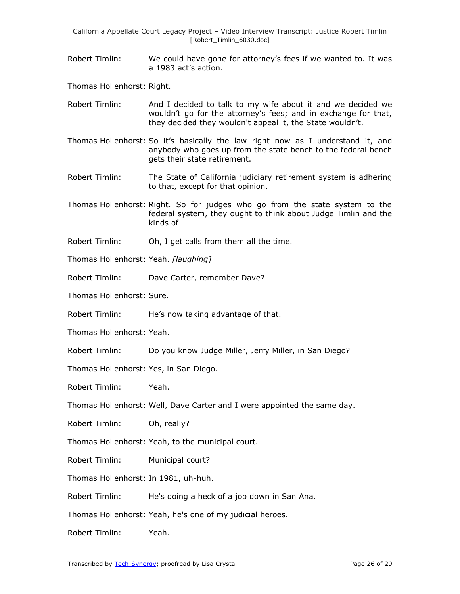Robert Timlin: We could have gone for attorney's fees if we wanted to. It was a 1983 act's action.

Thomas Hollenhorst: Right.

- Robert Timlin: And I decided to talk to my wife about it and we decided we wouldn't go for the attorney's fees; and in exchange for that, they decided they wouldn't appeal it, the State wouldn't.
- Thomas Hollenhorst: So it's basically the law right now as I understand it, and anybody who goes up from the state bench to the federal bench gets their state retirement.
- Robert Timlin: The State of California judiciary retirement system is adhering to that, except for that opinion.
- Thomas Hollenhorst: Right. So for judges who go from the state system to the federal system, they ought to think about Judge Timlin and the kinds of—
- Robert Timlin: Oh, I get calls from them all the time.
- Thomas Hollenhorst: Yeah. *[laughing]*
- Robert Timlin: Dave Carter, remember Dave?

Thomas Hollenhorst: Sure.

Robert Timlin: He's now taking advantage of that.

Thomas Hollenhorst: Yeah.

- Robert Timlin: Do you know Judge Miller, Jerry Miller, in San Diego?
- Thomas Hollenhorst: Yes, in San Diego.

Robert Timlin: Yeah.

Thomas Hollenhorst: Well, Dave Carter and I were appointed the same day.

Robert Timlin: Oh, really?

Thomas Hollenhorst: Yeah, to the municipal court.

Robert Timlin: Municipal court?

Thomas Hollenhorst: In 1981, uh-huh.

Robert Timlin: He's doing a heck of a job down in San Ana.

Thomas Hollenhorst: Yeah, he's one of my judicial heroes.

Robert Timlin: Yeah.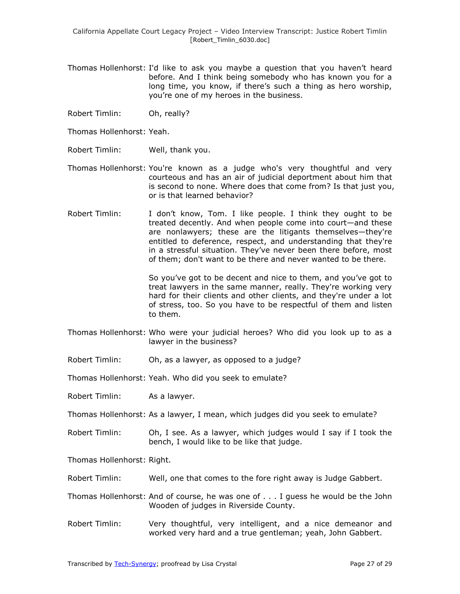- Thomas Hollenhorst: I'd like to ask you maybe a question that you haven't heard before. And I think being somebody who has known you for a long time, you know, if there's such a thing as hero worship, you're one of my heroes in the business.
- Robert Timlin: Oh, really?

Thomas Hollenhorst: Yeah.

- Robert Timlin: Well, thank you.
- Thomas Hollenhorst: You're known as a judge who's very thoughtful and very courteous and has an air of judicial deportment about him that is second to none. Where does that come from? Is that just you, or is that learned behavior?
- Robert Timlin: I don't know, Tom. I like people. I think they ought to be treated decently. And when people come into court—and these are nonlawyers; these are the litigants themselves—they're entitled to deference, respect, and understanding that they're in a stressful situation. They've never been there before, most of them; don't want to be there and never wanted to be there.

So you've got to be decent and nice to them, and you've got to treat lawyers in the same manner, really. They're working very hard for their clients and other clients, and they're under a lot of stress, too. So you have to be respectful of them and listen to them.

- Thomas Hollenhorst: Who were your judicial heroes? Who did you look up to as a lawyer in the business?
- Robert Timlin: Oh, as a lawyer, as opposed to a judge?

Thomas Hollenhorst: Yeah. Who did you seek to emulate?

Robert Timlin: As a lawyer.

Thomas Hollenhorst: As a lawyer, I mean, which judges did you seek to emulate?

Robert Timlin: Oh, I see. As a lawyer, which judges would I say if I took the bench, I would like to be like that judge.

Thomas Hollenhorst: Right.

Robert Timlin: Well, one that comes to the fore right away is Judge Gabbert.

- Thomas Hollenhorst: And of course, he was one of . . . I guess he would be the John Wooden of judges in Riverside County.
- Robert Timlin: Very thoughtful, very intelligent, and a nice demeanor and worked very hard and a true gentleman; yeah, John Gabbert.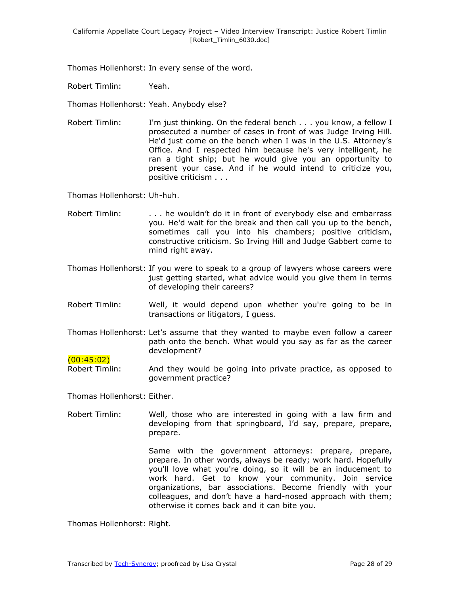Thomas Hollenhorst: In every sense of the word.

Robert Timlin: Yeah.

Thomas Hollenhorst: Yeah. Anybody else?

Robert Timlin: I'm just thinking. On the federal bench . . . you know, a fellow I prosecuted a number of cases in front of was Judge Irving Hill. He'd just come on the bench when I was in the U.S. Attorney's Office. And I respected him because he's very intelligent, he ran a tight ship; but he would give you an opportunity to present your case. And if he would intend to criticize you, positive criticism . . .

Thomas Hollenhorst: Uh-huh.

- Robert Timlin: . . . . he wouldn't do it in front of everybody else and embarrass you. He'd wait for the break and then call you up to the bench, sometimes call you into his chambers; positive criticism, constructive criticism. So Irving Hill and Judge Gabbert come to mind right away.
- Thomas Hollenhorst: If you were to speak to a group of lawyers whose careers were just getting started, what advice would you give them in terms of developing their careers?
- Robert Timlin: Well, it would depend upon whether you're going to be in transactions or litigators, I guess.
- Thomas Hollenhorst: Let's assume that they wanted to maybe even follow a career path onto the bench. What would you say as far as the career development?

## $(00:45:02)$

Robert Timlin: And they would be going into private practice, as opposed to government practice?

Thomas Hollenhorst: Either.

Robert Timlin: Well, those who are interested in going with a law firm and developing from that springboard, I'd say, prepare, prepare, prepare.

> Same with the government attorneys: prepare, prepare, prepare. In other words, always be ready; work hard. Hopefully you'll love what you're doing, so it will be an inducement to work hard. Get to know your community. Join service organizations, bar associations. Become friendly with your colleagues, and don't have a hard-nosed approach with them; otherwise it comes back and it can bite you.

Thomas Hollenhorst: Right.